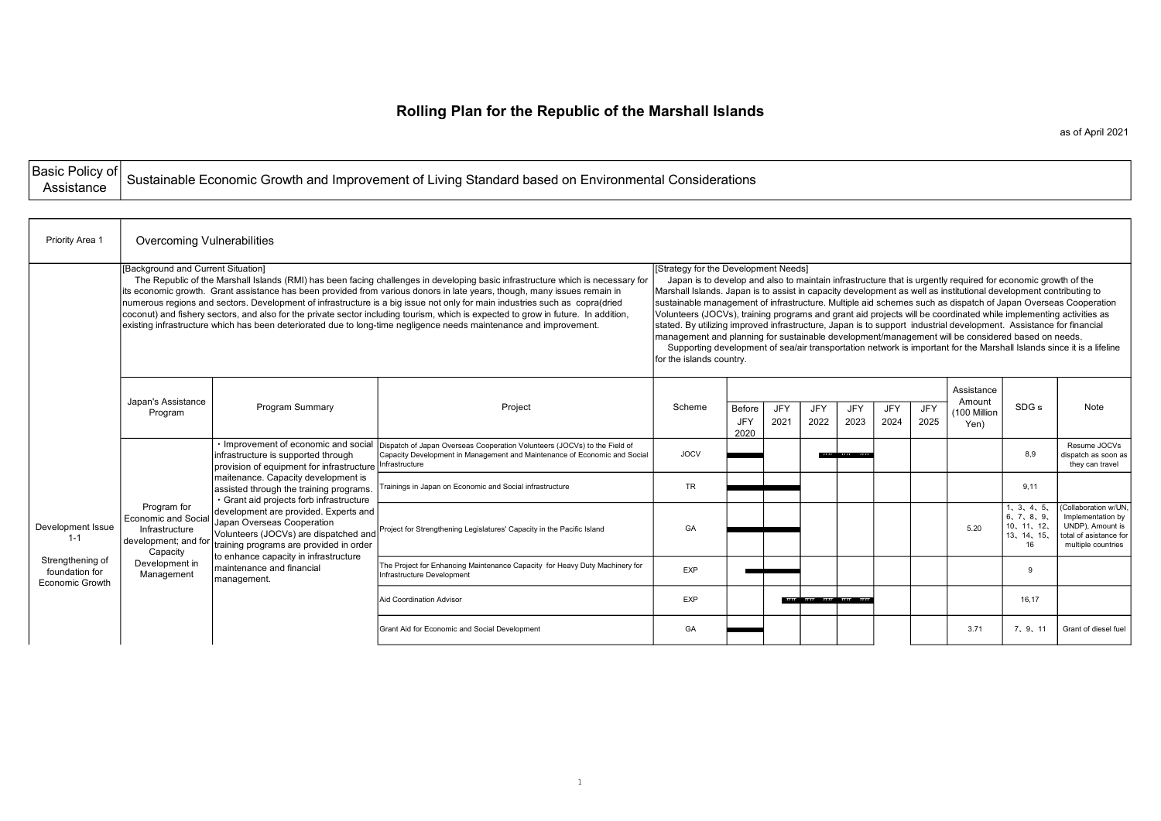## Rolling Plan for the Republic of the Marshall Islands

as of April 2021

|  | Basic Policy of Sustainable Economic Growth and Improvement of Living Standard based on Environmental Considerations |
|--|----------------------------------------------------------------------------------------------------------------------|

**r** 

 $\overline{\phantom{a}}$ 

| Priority Area 1                                       | Overcoming Vulnerabilities                                                                                                                                                                                                                                                                                                                                                                                                                                                                                                                                                                                                                                                                   |                                                                                                                                                                                                  |                                                                                                                                                                                           |             |                                                                                                                                                                                                                                                                                                                                                                                                                                                                                                                                                                                                                                                                                                                                                                                                                                                                                                 |             |                              |                |             |             |                                              |                                                              |                                                                                                               |  |  |
|-------------------------------------------------------|----------------------------------------------------------------------------------------------------------------------------------------------------------------------------------------------------------------------------------------------------------------------------------------------------------------------------------------------------------------------------------------------------------------------------------------------------------------------------------------------------------------------------------------------------------------------------------------------------------------------------------------------------------------------------------------------|--------------------------------------------------------------------------------------------------------------------------------------------------------------------------------------------------|-------------------------------------------------------------------------------------------------------------------------------------------------------------------------------------------|-------------|-------------------------------------------------------------------------------------------------------------------------------------------------------------------------------------------------------------------------------------------------------------------------------------------------------------------------------------------------------------------------------------------------------------------------------------------------------------------------------------------------------------------------------------------------------------------------------------------------------------------------------------------------------------------------------------------------------------------------------------------------------------------------------------------------------------------------------------------------------------------------------------------------|-------------|------------------------------|----------------|-------------|-------------|----------------------------------------------|--------------------------------------------------------------|---------------------------------------------------------------------------------------------------------------|--|--|
|                                                       | [Background and Current Situation]<br>The Republic of the Marshall Islands (RMI) has been facing challenges in developing basic infrastructure which is necessary for<br>its economic growth. Grant assistance has been provided from various donors in late years, though, many issues remain in<br>numerous regions and sectors. Development of infrastructure is a big issue not only for main industries such as copra(dried<br>coconut) and fishery sectors, and also for the private sector including tourism, which is expected to grow in future. In addition,<br>existing infrastructure which has been deteriorated due to long-time negligence needs maintenance and improvement. |                                                                                                                                                                                                  |                                                                                                                                                                                           |             | [Strategy for the Development Needs]<br>Japan is to develop and also to maintain infrastructure that is urgently required for economic growth of the<br>Marshall Islands. Japan is to assist in capacity development as well as institutional development contributing to<br>sustainable management of infrastructure. Multiple aid schemes such as dispatch of Japan Overseas Cooperation<br>Volunteers (JOCVs), training programs and grant aid projects will be coordinated while implementing activities as<br>stated. By utilizing improved infrastructure, Japan is to support industrial development. Assistance for financial<br>management and planning for sustainable development/management will be considered based on needs.<br>Supporting development of sea/air transportation network is important for the Marshall Islands since it is a lifeline<br>for the islands country. |             |                              |                |             |             |                                              |                                                              |                                                                                                               |  |  |
|                                                       | Japan's Assistance<br>Program                                                                                                                                                                                                                                                                                                                                                                                                                                                                                                                                                                                                                                                                | <b>Program Summary</b>                                                                                                                                                                           | Project                                                                                                                                                                                   | Scheme      | <b>Before</b><br><b>JFY</b><br>2020                                                                                                                                                                                                                                                                                                                                                                                                                                                                                                                                                                                                                                                                                                                                                                                                                                                             | JFY<br>2021 | JFY<br>2022                  | JFY<br>2023    | JFY<br>2024 | JFY<br>2025 | Assistance<br>Amount<br>(100 Million<br>Yen) | SDG <sub>s</sub>                                             | Note                                                                                                          |  |  |
|                                                       |                                                                                                                                                                                                                                                                                                                                                                                                                                                                                                                                                                                                                                                                                              | infrastructure is supported through<br>provision of equipment for infrastructure Infrastructure                                                                                                  | Improvement of economic and social Dispatch of Japan Overseas Cooperation Volunteers (JOCVs) to the Field of<br>Capacity Development in Management and Maintenance of Economic and Social | <b>JOCV</b> |                                                                                                                                                                                                                                                                                                                                                                                                                                                                                                                                                                                                                                                                                                                                                                                                                                                                                                 |             |                              | ,,,,,,,,,,,,,, |             |             |                                              | 8,9                                                          | Resume JOCVs<br>dispatch as soon as<br>they can travel                                                        |  |  |
|                                                       |                                                                                                                                                                                                                                                                                                                                                                                                                                                                                                                                                                                                                                                                                              | maitenance. Capacity development is<br>assisted through the training programs.<br>· Grant aid projects forb infrastructure                                                                       | Trainings in Japan on Economic and Social infrastructure                                                                                                                                  | <b>TR</b>   |                                                                                                                                                                                                                                                                                                                                                                                                                                                                                                                                                                                                                                                                                                                                                                                                                                                                                                 |             |                              |                |             |             |                                              | 9.11                                                         |                                                                                                               |  |  |
| Development Issue<br>$1 - 1$                          | Program for<br>Economic and Social<br>Infrastructure<br>development; and for<br>Capacity                                                                                                                                                                                                                                                                                                                                                                                                                                                                                                                                                                                                     | development are provided. Experts and<br>Japan Overseas Cooperation<br>Volunteers (JOCVs) are dispatched and<br>training programs are provided in order<br>to enhance capacity in infrastructure | Project for Strengthening Legislatures' Capacity in the Pacific Island                                                                                                                    | GA          |                                                                                                                                                                                                                                                                                                                                                                                                                                                                                                                                                                                                                                                                                                                                                                                                                                                                                                 |             |                              |                |             |             | 5.20                                         | 1, 3, 4, 5,<br>6, 7, 8, 9,<br>10, 11, 12,<br>13、14、15、<br>16 | (Collaboration w/UN.<br>Implementation by<br>UNDP), Amount is<br>total of asistance for<br>multiple countries |  |  |
| Strengthening of<br>foundation for<br>Economic Growth | Development in<br>Management                                                                                                                                                                                                                                                                                                                                                                                                                                                                                                                                                                                                                                                                 | Imaintenance and financial<br>management.                                                                                                                                                        | The Project for Enhancing Maintenance Capacity for Heavy Duty Machinery for<br>Infrastructure Development                                                                                 | <b>EXP</b>  |                                                                                                                                                                                                                                                                                                                                                                                                                                                                                                                                                                                                                                                                                                                                                                                                                                                                                                 |             |                              |                |             |             |                                              |                                                              |                                                                                                               |  |  |
|                                                       |                                                                                                                                                                                                                                                                                                                                                                                                                                                                                                                                                                                                                                                                                              |                                                                                                                                                                                                  | <b>Aid Coordination Advisor</b>                                                                                                                                                           | EXP         |                                                                                                                                                                                                                                                                                                                                                                                                                                                                                                                                                                                                                                                                                                                                                                                                                                                                                                 |             | Maasahiitaaaniinaaniihisaani | Hittit         |             |             |                                              | 16.17                                                        |                                                                                                               |  |  |
|                                                       |                                                                                                                                                                                                                                                                                                                                                                                                                                                                                                                                                                                                                                                                                              |                                                                                                                                                                                                  | Grant Aid for Economic and Social Development                                                                                                                                             | GA          |                                                                                                                                                                                                                                                                                                                                                                                                                                                                                                                                                                                                                                                                                                                                                                                                                                                                                                 |             |                              |                |             |             | 3.71                                         | 7, 9, 11                                                     | Grant of diesel fuel                                                                                          |  |  |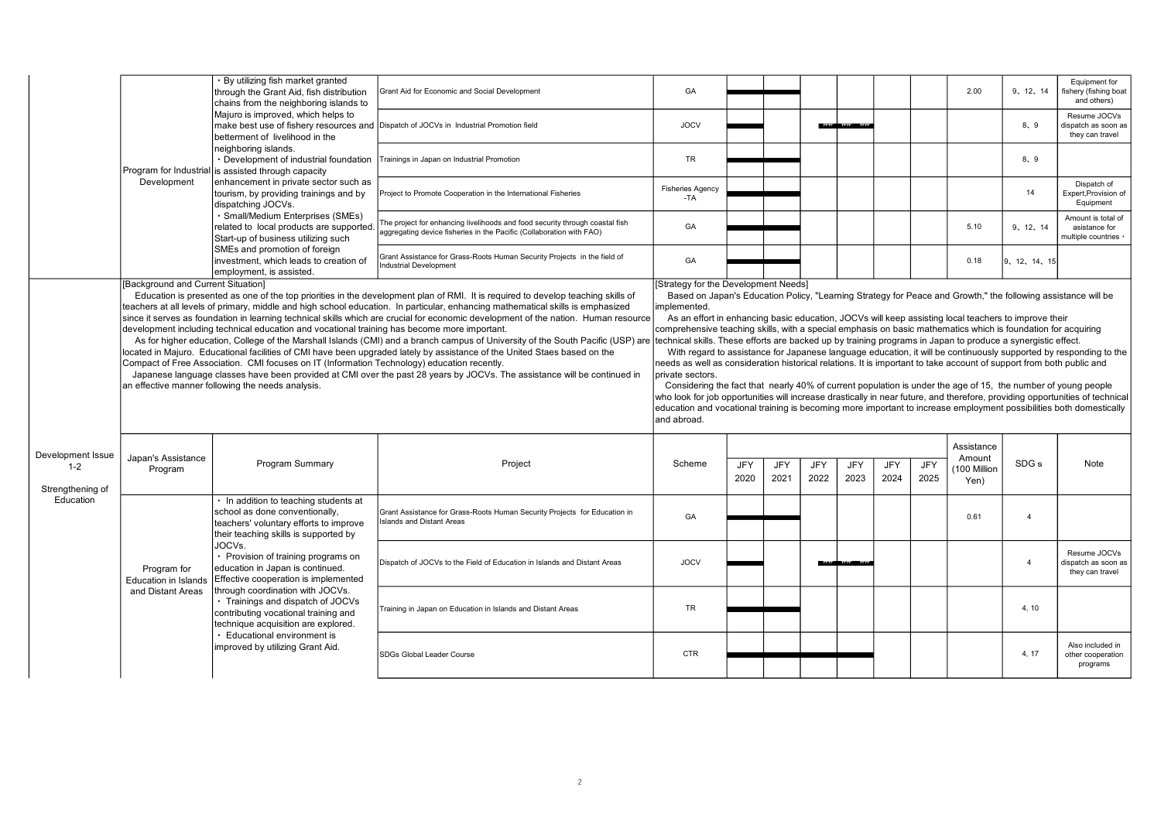|                              |                                            | By utilizing fish market granted<br>through the Grant Aid, fish distribution<br>chains from the neighboring islands to                                                                                                                                                          | Grant Aid for Economic and Social Development                                                                                                                                                                                                                                                                                                                                                                                                                                                                                                                                                                                                                                                                                                                                                          | GA                                                                                                                                                                                                                                                                                                                                                                                                                                                                                                                                                                                                                                                                                                                                                 |      |      |      |                       |      |            | 2.00                                 | 9, 12, 14             | Equipment for<br>fishery (fishing boat<br>and others)                                                                                                                                                                                                                                                                                                                    |
|------------------------------|--------------------------------------------|---------------------------------------------------------------------------------------------------------------------------------------------------------------------------------------------------------------------------------------------------------------------------------|--------------------------------------------------------------------------------------------------------------------------------------------------------------------------------------------------------------------------------------------------------------------------------------------------------------------------------------------------------------------------------------------------------------------------------------------------------------------------------------------------------------------------------------------------------------------------------------------------------------------------------------------------------------------------------------------------------------------------------------------------------------------------------------------------------|----------------------------------------------------------------------------------------------------------------------------------------------------------------------------------------------------------------------------------------------------------------------------------------------------------------------------------------------------------------------------------------------------------------------------------------------------------------------------------------------------------------------------------------------------------------------------------------------------------------------------------------------------------------------------------------------------------------------------------------------------|------|------|------|-----------------------|------|------------|--------------------------------------|-----------------------|--------------------------------------------------------------------------------------------------------------------------------------------------------------------------------------------------------------------------------------------------------------------------------------------------------------------------------------------------------------------------|
|                              |                                            | Majuro is improved, which helps to<br>make best use of fishery resources and Dispatch of JOCVs in Industrial Promotion field<br>betterment of livelihood in the                                                                                                                 |                                                                                                                                                                                                                                                                                                                                                                                                                                                                                                                                                                                                                                                                                                                                                                                                        | <b>JOCV</b>                                                                                                                                                                                                                                                                                                                                                                                                                                                                                                                                                                                                                                                                                                                                        |      |      |      | <b>1111 1111 1111</b> |      |            |                                      | 8.9                   | Resume JOCVs<br>dispatch as soon as<br>they can travel                                                                                                                                                                                                                                                                                                                   |
|                              | Program for Industrial                     | neighboring islands.<br>• Development of industrial foundation<br>is assisted through capacity                                                                                                                                                                                  | Trainings in Japan on Industrial Promotion                                                                                                                                                                                                                                                                                                                                                                                                                                                                                                                                                                                                                                                                                                                                                             | <b>TR</b>                                                                                                                                                                                                                                                                                                                                                                                                                                                                                                                                                                                                                                                                                                                                          |      |      |      |                       |      |            |                                      | 8.9                   |                                                                                                                                                                                                                                                                                                                                                                          |
|                              | Development                                | enhancement in private sector such as<br>tourism, by providing trainings and by<br>dispatching JOCVs.                                                                                                                                                                           | Project to Promote Cooperation in the International Fisheries                                                                                                                                                                                                                                                                                                                                                                                                                                                                                                                                                                                                                                                                                                                                          | <b>Fisheries Agency</b><br>$-TA$                                                                                                                                                                                                                                                                                                                                                                                                                                                                                                                                                                                                                                                                                                                   |      |      |      |                       |      |            |                                      | 14                    | Dispatch of<br>Expert, Provision of<br>Equipment                                                                                                                                                                                                                                                                                                                         |
|                              |                                            | · Small/Medium Enterprises (SMEs)<br>related to local products are supported.<br>Start-up of business utilizing such                                                                                                                                                            | The project for enhancing livelihoods and food security through coastal fish<br>aggregating device fisheries in the Pacific (Collaboration with FAO)                                                                                                                                                                                                                                                                                                                                                                                                                                                                                                                                                                                                                                                   | GA                                                                                                                                                                                                                                                                                                                                                                                                                                                                                                                                                                                                                                                                                                                                                 |      |      |      |                       |      |            | 5.10                                 | 9, 12, 14             | Amount is total of<br>asistance for<br>multiple countries                                                                                                                                                                                                                                                                                                                |
|                              | [Background and Current Situation]         | SMEs and promotion of foreign<br>Iinvestment, which leads to creation of<br>employment, is assisted.                                                                                                                                                                            | Grant Assistance for Grass-Roots Human Security Projects in the field of<br><b>Industrial Development</b>                                                                                                                                                                                                                                                                                                                                                                                                                                                                                                                                                                                                                                                                                              | GA<br>[Strategy for the Development Needs]                                                                                                                                                                                                                                                                                                                                                                                                                                                                                                                                                                                                                                                                                                         |      |      |      |                       |      |            | 0.18                                 | 9, 12, 14, 15         |                                                                                                                                                                                                                                                                                                                                                                          |
|                              |                                            | development including technical education and vocational training has become more important.<br>Compact of Free Association. CMI focuses on IT (Information Technology) education recently.<br>an effective manner following the needs analysis.                                | Education is presented as one of the top priorities in the development plan of RMI. It is required to develop teaching skills of<br>teachers at all levels of primary, middle and high school education. In particular, enhancing mathematical skills is emphasized<br>since it serves as foundation in learning technical skills which are crucial for economic development of the nation. Human resource<br>As for higher education, College of the Marshall Islands (CMI) and a branch campus of University of the South Pacific (USP) are<br>located in Majuro. Educational facilities of CMI have been upgraded lately by assistance of the United Staes based on the<br>Japanese language classes have been provided at CMI over the past 28 years by JOCVs. The assistance will be continued in | Based on Japan's Education Policy, "Learning Strategy for Peace and Growth," the following assistance will be<br>implemented.<br>As an effort in enhancing basic education, JOCVs will keep assisting local teachers to improve their<br>comprehensive teaching skills, with a special emphasis on basic mathematics which is foundation for acquiring<br>technical skills. These efforts are backed up by training programs in Japan to produce a synergistic effect.<br>needs as well as consideration historical relations. It is important to take account of support from both public and<br>private sectors.<br>Considering the fact that nearly 40% of current population is under the age of 15, the number of young people<br>and abroad. |      |      |      |                       |      |            |                                      |                       | With regard to assistance for Japanese language education, it will be continuously supported by responding to the<br>who look for job opportunities will increase drastically in near future, and therefore, providing opportunities of technical<br>education and vocational training is becoming more important to increase employment possibilities both domestically |
| Development Issue<br>$1 - 2$ | Japan's Assistance<br>Program              | Program Summary                                                                                                                                                                                                                                                                 | Project                                                                                                                                                                                                                                                                                                                                                                                                                                                                                                                                                                                                                                                                                                                                                                                                | Scheme                                                                                                                                                                                                                                                                                                                                                                                                                                                                                                                                                                                                                                                                                                                                             | JFY  | JFY  | JFY  | JFY                   | JFY  | <b>JFY</b> | Assistance<br>Amount<br>(100 Million | SDG <sub>s</sub>      | Note                                                                                                                                                                                                                                                                                                                                                                     |
| Strengthening of             |                                            |                                                                                                                                                                                                                                                                                 |                                                                                                                                                                                                                                                                                                                                                                                                                                                                                                                                                                                                                                                                                                                                                                                                        |                                                                                                                                                                                                                                                                                                                                                                                                                                                                                                                                                                                                                                                                                                                                                    | 2020 | 2021 | 2022 | 2023                  | 2024 | 2025       | Yen)                                 |                       |                                                                                                                                                                                                                                                                                                                                                                          |
| Education                    |                                            | In addition to teaching students at<br>school as done conventionally,<br>teachers' voluntary efforts to improve<br>their teaching skills is supported by                                                                                                                        | Grant Assistance for Grass-Roots Human Security Projects for Education in<br><b>Islands and Distant Areas</b>                                                                                                                                                                                                                                                                                                                                                                                                                                                                                                                                                                                                                                                                                          | GA                                                                                                                                                                                                                                                                                                                                                                                                                                                                                                                                                                                                                                                                                                                                                 |      |      |      |                       |      |            | 0.61                                 | $\overline{A}$        |                                                                                                                                                                                                                                                                                                                                                                          |
|                              | Program for<br><b>Education in Islands</b> | JOCVs.<br>• Provision of training programs on<br>education in Japan is continued.<br>Effective cooperation is implemented<br>through coordination with JOCVs.<br>Trainings and dispatch of JOCVs<br>contributing vocational training and<br>technique acquisition are explored. | Dispatch of JOCVs to the Field of Education in Islands and Distant Areas                                                                                                                                                                                                                                                                                                                                                                                                                                                                                                                                                                                                                                                                                                                               | <b>JOCV</b>                                                                                                                                                                                                                                                                                                                                                                                                                                                                                                                                                                                                                                                                                                                                        |      |      |      |                       |      |            |                                      | $\boldsymbol{\Delta}$ | Resume JOCVs<br>dispatch as soon as<br>they can travel                                                                                                                                                                                                                                                                                                                   |
|                              | and Distant Areas                          |                                                                                                                                                                                                                                                                                 | Training in Japan on Education in Islands and Distant Areas                                                                                                                                                                                                                                                                                                                                                                                                                                                                                                                                                                                                                                                                                                                                            | <b>TR</b>                                                                                                                                                                                                                                                                                                                                                                                                                                                                                                                                                                                                                                                                                                                                          |      |      |      |                       |      |            |                                      | 4.10                  |                                                                                                                                                                                                                                                                                                                                                                          |
|                              |                                            | Educational environment is                                                                                                                                                                                                                                                      |                                                                                                                                                                                                                                                                                                                                                                                                                                                                                                                                                                                                                                                                                                                                                                                                        |                                                                                                                                                                                                                                                                                                                                                                                                                                                                                                                                                                                                                                                                                                                                                    |      |      |      |                       |      |            |                                      |                       |                                                                                                                                                                                                                                                                                                                                                                          |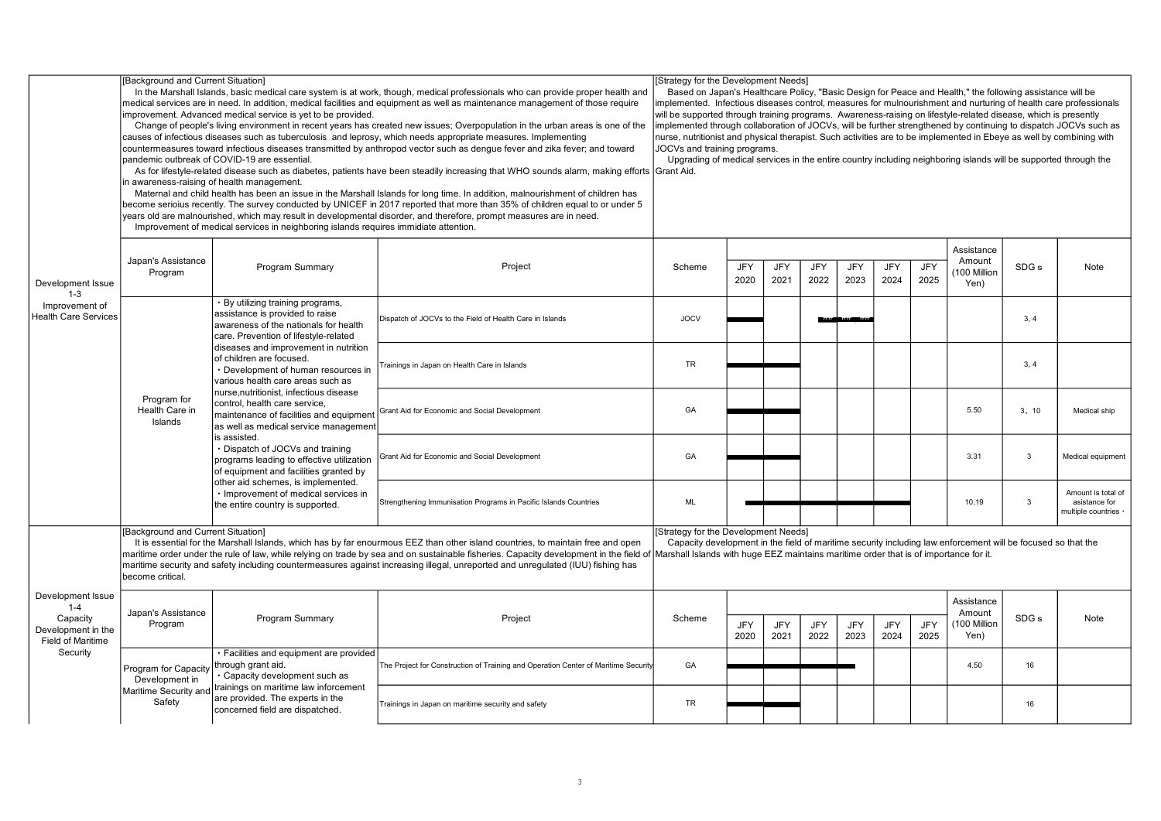|                                                                                     | [Background and Current Situation]                     | In the Marshall Islands, basic medical care system is at work, though, medical professionals who can provide proper health and<br>medical services are in need. In addition, medical facilities and equipment as well as maintenance management of those require<br>improvement. Advanced medical service is yet to be provided.<br>Change of people's living environment in recent years has created new issues; Overpopulation in the urban areas is one of the<br>causes of infectious diseases such as tuberculosis and leprosy, which needs appropriate measures. Implementing<br>countermeasures toward infectious diseases transmitted by anthropod vector such as dengue fever and zika fever; and toward<br>pandemic outbreak of COVID-19 are essential.<br>As for lifestyle-related disease such as diabetes, patients have been steadily increasing that WHO sounds alarm, making efforts Grant Aid.<br>in awareness-raising of health management.<br>Maternal and child health has been an issue in the Marshall Islands for long time. In addition, malnourishment of children has<br>become serioius recently. The survey conducted by UNICEF in 2017 reported that more than 35% of children equal to or under 5<br>years old are malnourished, which may result in developmental disorder, and therefore, prompt measures are in need.<br>Improvement of medical services in neighboring islands requires immidiate attention. | Strategy for the Development Needs]<br>Based on Japan's Healthcare Policy, "Basic Design for Peace and Health," the following assistance will be<br>mplemented. Infectious diseases control, measures for mulnourishment and nurturing of health care professionals<br>will be supported through training programs. Awareness-raising on lifestyle-related disease, which is presently<br>implemented through collaboration of JOCVs, will be further strengthened by continuing to dispatch JOCVs such as<br>nurse, nutritionist and physical therapist. Such activities are to be implemented in Ebeye as well by combining with<br>JOCVs and training programs.<br>Upgrading of medical services in the entire country including neighboring islands will be supported through the |                                                                                                                                                                                                                                              |                    |                    |                    |                    |                    |                    |                                              |                  |                                                             |
|-------------------------------------------------------------------------------------|--------------------------------------------------------|------------------------------------------------------------------------------------------------------------------------------------------------------------------------------------------------------------------------------------------------------------------------------------------------------------------------------------------------------------------------------------------------------------------------------------------------------------------------------------------------------------------------------------------------------------------------------------------------------------------------------------------------------------------------------------------------------------------------------------------------------------------------------------------------------------------------------------------------------------------------------------------------------------------------------------------------------------------------------------------------------------------------------------------------------------------------------------------------------------------------------------------------------------------------------------------------------------------------------------------------------------------------------------------------------------------------------------------------------------------------------------------------------------------------------------------------|---------------------------------------------------------------------------------------------------------------------------------------------------------------------------------------------------------------------------------------------------------------------------------------------------------------------------------------------------------------------------------------------------------------------------------------------------------------------------------------------------------------------------------------------------------------------------------------------------------------------------------------------------------------------------------------------------------------------------------------------------------------------------------------|----------------------------------------------------------------------------------------------------------------------------------------------------------------------------------------------------------------------------------------------|--------------------|--------------------|--------------------|--------------------|--------------------|--------------------|----------------------------------------------|------------------|-------------------------------------------------------------|
| Development Issue<br>$1 - 3$                                                        | Japan's Assistance<br>Program                          | Program Summary                                                                                                                                                                                                                                                                                                                                                                                                                                                                                                                                                                                                                                                                                                                                                                                                                                                                                                                                                                                                                                                                                                                                                                                                                                                                                                                                                                                                                                | Project                                                                                                                                                                                                                                                                                                                                                                                                                                                                                                                                                                                                                                                                                                                                                                               | Scheme                                                                                                                                                                                                                                       | JFY<br>2020        | <b>JFY</b><br>2021 | <b>JFY</b><br>2022 | JFY<br>2023        | <b>JFY</b><br>2024 | <b>JFY</b><br>2025 | Assistance<br>Amount<br>100 Million<br>Yen)  | SDG <sub>s</sub> | Note                                                        |
| Improvement of<br><b>Health Care Services</b>                                       |                                                        | By utilizing training programs,<br>assistance is provided to raise<br>awareness of the nationals for health<br>care. Prevention of lifestyle-related                                                                                                                                                                                                                                                                                                                                                                                                                                                                                                                                                                                                                                                                                                                                                                                                                                                                                                                                                                                                                                                                                                                                                                                                                                                                                           | Dispatch of JOCVs to the Field of Health Care in Islands                                                                                                                                                                                                                                                                                                                                                                                                                                                                                                                                                                                                                                                                                                                              | <b>JOCV</b>                                                                                                                                                                                                                                  |                    |                    | ,,,,,              | .                  |                    |                    |                                              | 3.4              |                                                             |
|                                                                                     |                                                        | diseases and improvement in nutrition<br>of children are focused.<br>Development of human resources in<br>various health care areas such as<br>nurse.nutritionist, infectious disease<br>Program for<br>control, health care service,<br>Health Care in<br>maintenance of facilities and equipment<br>Islands<br>as well as medical service management                                                                                                                                                                                                                                                                                                                                                                                                                                                                                                                                                                                                                                                                                                                                                                                                                                                                                                                                                                                                                                                                                         | Trainings in Japan on Health Care in Islands                                                                                                                                                                                                                                                                                                                                                                                                                                                                                                                                                                                                                                                                                                                                          | <b>TR</b>                                                                                                                                                                                                                                    |                    |                    |                    |                    |                    |                    |                                              | 3, 4             |                                                             |
|                                                                                     | is assisted.                                           |                                                                                                                                                                                                                                                                                                                                                                                                                                                                                                                                                                                                                                                                                                                                                                                                                                                                                                                                                                                                                                                                                                                                                                                                                                                                                                                                                                                                                                                | Grant Aid for Economic and Social Development                                                                                                                                                                                                                                                                                                                                                                                                                                                                                                                                                                                                                                                                                                                                         | GA                                                                                                                                                                                                                                           |                    |                    |                    |                    |                    |                    | 5.50                                         | 3, 10            | Medical ship                                                |
|                                                                                     |                                                        | Dispatch of JOCVs and training<br>programs leading to effective utilization<br>of equipment and facilities granted by<br>other aid schemes, is implemented.                                                                                                                                                                                                                                                                                                                                                                                                                                                                                                                                                                                                                                                                                                                                                                                                                                                                                                                                                                                                                                                                                                                                                                                                                                                                                    | Grant Aid for Economic and Social Development                                                                                                                                                                                                                                                                                                                                                                                                                                                                                                                                                                                                                                                                                                                                         | GA                                                                                                                                                                                                                                           |                    |                    |                    |                    |                    |                    | 3.31                                         | 3                | Medical equipment                                           |
|                                                                                     |                                                        | Improvement of medical services in<br>the entire country is supported.                                                                                                                                                                                                                                                                                                                                                                                                                                                                                                                                                                                                                                                                                                                                                                                                                                                                                                                                                                                                                                                                                                                                                                                                                                                                                                                                                                         | Strengthening Immunisation Programs in Pacific Islands Countries                                                                                                                                                                                                                                                                                                                                                                                                                                                                                                                                                                                                                                                                                                                      | ML                                                                                                                                                                                                                                           |                    |                    |                    |                    |                    |                    | 10.19                                        | 3                | Amount is total of<br>asistance for<br>multiple countries · |
| Development Issue<br>$1 - 4$<br>Capacity<br>Development in the<br>Field of Maritime | [Background and Current Situation]<br>become critical. |                                                                                                                                                                                                                                                                                                                                                                                                                                                                                                                                                                                                                                                                                                                                                                                                                                                                                                                                                                                                                                                                                                                                                                                                                                                                                                                                                                                                                                                | It is essential for the Marshall Islands, which has by far enourmous EEZ than other island countries, to maintain free and open<br>maritime order under the rule of law, while relying on trade by sea and on sustainable fisheries. Capacity development in the field of<br>maritime security and safety including countermeasures against increasing illegal, unreported and unregulated (IUU) fishing has                                                                                                                                                                                                                                                                                                                                                                          | Strategy for the Development Needs]<br>Capacity development in the field of maritime security including law enforcement will be focused so that the<br>Marshall Islands with huge EEZ maintains maritime order that is of importance for it. |                    |                    |                    |                    |                    |                    |                                              |                  |                                                             |
|                                                                                     | Japan's Assistance<br>Program                          | Program Summary                                                                                                                                                                                                                                                                                                                                                                                                                                                                                                                                                                                                                                                                                                                                                                                                                                                                                                                                                                                                                                                                                                                                                                                                                                                                                                                                                                                                                                | Project                                                                                                                                                                                                                                                                                                                                                                                                                                                                                                                                                                                                                                                                                                                                                                               | Scheme                                                                                                                                                                                                                                       | <b>JFY</b><br>2020 | <b>JFY</b><br>2021 | <b>JFY</b><br>2022 | <b>JFY</b><br>2023 | JFY<br>2024        | <b>JFY</b><br>2025 | Assistance<br>Amount<br>(100 Million<br>Yen) | SDG <sub>s</sub> | Note                                                        |
| Security                                                                            | Program for Capacity<br>Development in                 | Facilities and equipment are provided<br>through grant aid.<br>Capacity development such as                                                                                                                                                                                                                                                                                                                                                                                                                                                                                                                                                                                                                                                                                                                                                                                                                                                                                                                                                                                                                                                                                                                                                                                                                                                                                                                                                    | The Project for Construction of Training and Operation Center of Maritime Securit                                                                                                                                                                                                                                                                                                                                                                                                                                                                                                                                                                                                                                                                                                     | GA                                                                                                                                                                                                                                           |                    |                    |                    |                    |                    |                    | 4.50                                         | 16               |                                                             |
|                                                                                     | Maritime Security and<br>Safety                        | trainings on maritime law inforcement<br>are provided. The experts in the<br>concerned field are dispatched.                                                                                                                                                                                                                                                                                                                                                                                                                                                                                                                                                                                                                                                                                                                                                                                                                                                                                                                                                                                                                                                                                                                                                                                                                                                                                                                                   | Trainings in Japan on maritime security and safety                                                                                                                                                                                                                                                                                                                                                                                                                                                                                                                                                                                                                                                                                                                                    | <b>TR</b>                                                                                                                                                                                                                                    |                    |                    |                    |                    |                    |                    |                                              | 16               |                                                             |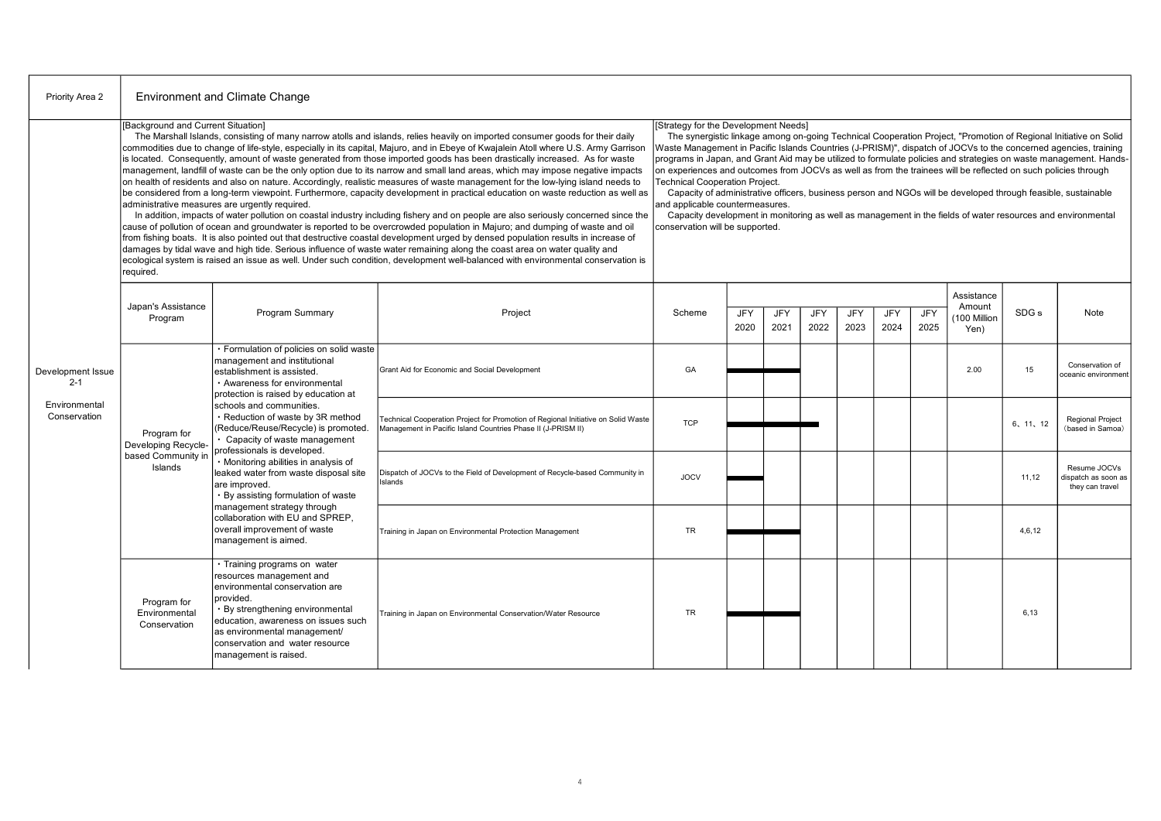| Priority Area 2               | <b>Environment and Climate Change</b>           |                                                                                                                                                                                                                                                                                                                                                                                                                                                                                                                                                                                                                                                                                                                                                                                                                                                                                                                                                                                                                                                                                                                                                                                                                                                                                                                                                                                                                                                                                                                                             |                                                                                                                                                                                                                                                                                                                                                                                                                                                                                                                                                                                                                          |             |                    |                    |                    |                    |                    |             |                                             |                                                                                                                                                                                                                                       |                                                        |
|-------------------------------|-------------------------------------------------|---------------------------------------------------------------------------------------------------------------------------------------------------------------------------------------------------------------------------------------------------------------------------------------------------------------------------------------------------------------------------------------------------------------------------------------------------------------------------------------------------------------------------------------------------------------------------------------------------------------------------------------------------------------------------------------------------------------------------------------------------------------------------------------------------------------------------------------------------------------------------------------------------------------------------------------------------------------------------------------------------------------------------------------------------------------------------------------------------------------------------------------------------------------------------------------------------------------------------------------------------------------------------------------------------------------------------------------------------------------------------------------------------------------------------------------------------------------------------------------------------------------------------------------------|--------------------------------------------------------------------------------------------------------------------------------------------------------------------------------------------------------------------------------------------------------------------------------------------------------------------------------------------------------------------------------------------------------------------------------------------------------------------------------------------------------------------------------------------------------------------------------------------------------------------------|-------------|--------------------|--------------------|--------------------|--------------------|--------------------|-------------|---------------------------------------------|---------------------------------------------------------------------------------------------------------------------------------------------------------------------------------------------------------------------------------------|--------------------------------------------------------|
|                               | [Background and Current Situation]<br>required. | The Marshall Islands, consisting of many narrow atolls and islands, relies heavily on imported consumer goods for their daily<br>commodities due to change of life-style, especially in its capital, Majuro, and in Ebeye of Kwajalein Atoll where U.S. Army Garrison<br>is located. Consequently, amount of waste generated from those imported goods has been drastically increased. As for waste<br>management, landfill of waste can be the only option due to its narrow and small land areas, which may impose negative impacts<br>on health of residents and also on nature. Accordingly, realistic measures of waste management for the low-lying island needs to<br>be considered from a long-term viewpoint. Furthermore, capacity development in practical education on waste reduction as well as<br>administrative measures are urgently required.<br>In addition, impacts of water pollution on coastal industry including fishery and on people are also seriously concerned since the<br>cause of pollution of ocean and groundwater is reported to be overcrowded population in Majuro; and dumping of waste and oil<br>from fishing boats. It is also pointed out that destructive coastal development urged by densed population results in increase of<br>damages by tidal wave and high tide. Serious influence of waste water remaining along the coast area on water quality and<br>ecological system is raised an issue as well. Under such condition, development well-balanced with environmental conservation is | [Strategy for the Development Needs]<br>Waste Management in Pacific Islands Countries (J-PRISM)", dispatch of JOCVs to the concerned agencies, training<br>on experiences and outcomes from JOCVs as well as from the trainees will be reflected on such policies through<br><b>Technical Cooperation Project.</b><br>Capacity of administrative officers, business person and NGOs will be developed through feasible, sustainable<br>and applicable countermeasures.<br>Capacity development in monitoring as well as management in the fields of water resources and environmental<br>conservation will be supported. |             |                    |                    |                    |                    |                    |             |                                             | The synergistic linkage among on-going Technical Cooperation Project, "Promotion of Regional Initiative on Solid<br>programs in Japan, and Grant Aid may be utilized to formulate policies and strategies on waste management. Hands- |                                                        |
|                               | Japan's Assistance<br>Program                   | Program Summary                                                                                                                                                                                                                                                                                                                                                                                                                                                                                                                                                                                                                                                                                                                                                                                                                                                                                                                                                                                                                                                                                                                                                                                                                                                                                                                                                                                                                                                                                                                             | Project                                                                                                                                                                                                                                                                                                                                                                                                                                                                                                                                                                                                                  | Scheme      | <b>JFY</b><br>2020 | <b>JFY</b><br>2021 | <b>JFY</b><br>2022 | <b>JFY</b><br>2023 | <b>JFY</b><br>2024 | JFY<br>2025 | Assistance<br>Amount<br>100 Million<br>Yen) | SDG <sub>s</sub>                                                                                                                                                                                                                      | Note                                                   |
| Development Issue<br>$2 - 1$  | Program for<br>Developing Recycle-              | · Formulation of policies on solid waste<br>management and institutional<br>establishment is assisted.<br>· Awareness for environmental<br>protection is raised by education at<br>schools and communities.<br>Reduction of waste by 3R method<br>(Reduce/Reuse/Recycle) is promoted.<br>Capacity of waste management<br>professionals is developed.<br>· Monitoring abilities in analysis of<br>leaked water from waste disposal site<br>are improved.<br>By assisting formulation of waste                                                                                                                                                                                                                                                                                                                                                                                                                                                                                                                                                                                                                                                                                                                                                                                                                                                                                                                                                                                                                                                | Grant Aid for Economic and Social Development                                                                                                                                                                                                                                                                                                                                                                                                                                                                                                                                                                            | GA          |                    |                    |                    |                    |                    |             | 2.00                                        | 15                                                                                                                                                                                                                                    | Conservation of<br>oceanic environment                 |
| Environmental<br>Conservation |                                                 |                                                                                                                                                                                                                                                                                                                                                                                                                                                                                                                                                                                                                                                                                                                                                                                                                                                                                                                                                                                                                                                                                                                                                                                                                                                                                                                                                                                                                                                                                                                                             | Fechnical Cooperation Project for Promotion of Regional Initiative on Solid Waste<br>Management in Pacific Island Countries Phase II (J-PRISM II)                                                                                                                                                                                                                                                                                                                                                                                                                                                                        | <b>TCP</b>  |                    |                    |                    |                    |                    |             |                                             | 6, 11, 12                                                                                                                                                                                                                             | <b>Regional Project</b><br>(based in Samoa)            |
|                               | based Community in<br>Islands                   |                                                                                                                                                                                                                                                                                                                                                                                                                                                                                                                                                                                                                                                                                                                                                                                                                                                                                                                                                                                                                                                                                                                                                                                                                                                                                                                                                                                                                                                                                                                                             | Dispatch of JOCVs to the Field of Development of Recycle-based Community in<br>Islands                                                                                                                                                                                                                                                                                                                                                                                                                                                                                                                                   | <b>JOCV</b> |                    |                    |                    |                    |                    |             |                                             | 11,12                                                                                                                                                                                                                                 | Resume JOCVs<br>dispatch as soon as<br>they can travel |
|                               |                                                 | management strategy through<br>collaboration with EU and SPREP.<br>overall improvement of waste<br>management is aimed.                                                                                                                                                                                                                                                                                                                                                                                                                                                                                                                                                                                                                                                                                                                                                                                                                                                                                                                                                                                                                                                                                                                                                                                                                                                                                                                                                                                                                     | Training in Japan on Environmental Protection Management                                                                                                                                                                                                                                                                                                                                                                                                                                                                                                                                                                 | <b>TR</b>   |                    |                    |                    |                    |                    |             |                                             | 4.6.12                                                                                                                                                                                                                                |                                                        |
|                               | Program for<br>Environmental<br>Conservation    | · Training programs on water<br>resources management and<br>environmental conservation are<br>provided.<br>· By strengthening environmental<br>education, awareness on issues such<br>as environmental management/<br>conservation and water resource<br>management is raised.                                                                                                                                                                                                                                                                                                                                                                                                                                                                                                                                                                                                                                                                                                                                                                                                                                                                                                                                                                                                                                                                                                                                                                                                                                                              | Training in Japan on Environmental Conservation/Water Resource                                                                                                                                                                                                                                                                                                                                                                                                                                                                                                                                                           | <b>TR</b>   |                    |                    |                    |                    |                    |             |                                             | 6.13                                                                                                                                                                                                                                  |                                                        |